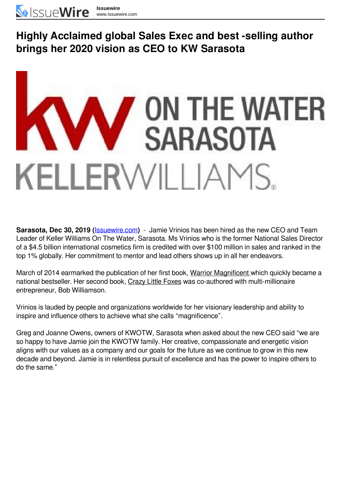## **Highly Acclaimed global Sales Exec and best -selling author brings her 2020 vision as CEO to KW Sarasota**



**Sarasota, Dec 30, 2019 (**[Issuewire.com](https://www.issuewire.com/)**)** - Jamie Vrinios has been hired as the new CEO and Team Leader of Keller Williams On The Water, Sarasota. Ms Vrinios who is the former National Sales Director of a \$4.5 billion international cosmetics firm is credited with over \$100 million in sales and ranked in the top 1% globally. Her commitment to mentor and lead others shows up in all her endeavors.

March of 2014 earmarked the publication of her first book, Warrior Magnificent which quickly became a national bestseller. Her second book, Crazy Little Foxes was co-authored with multi-millionaire entrepreneur, Bob Williamson.

Vrinios is lauded by people and organizations worldwide for her visionary leadership and ability to inspire and influence others to achieve what she calls "magnificence".

Greg and Joanne Owens, owners of KWOTW, Sarasota when asked about the new CEO said "we are so happy to have Jamie join the KWOTW family. Her creative, compassionate and energetic vision aligns with our values as a company and our goals for the future as we continue to grow in this new decade and beyond. Jamie is in relentless pursuit of excellence and has the power to inspire others to do the same."